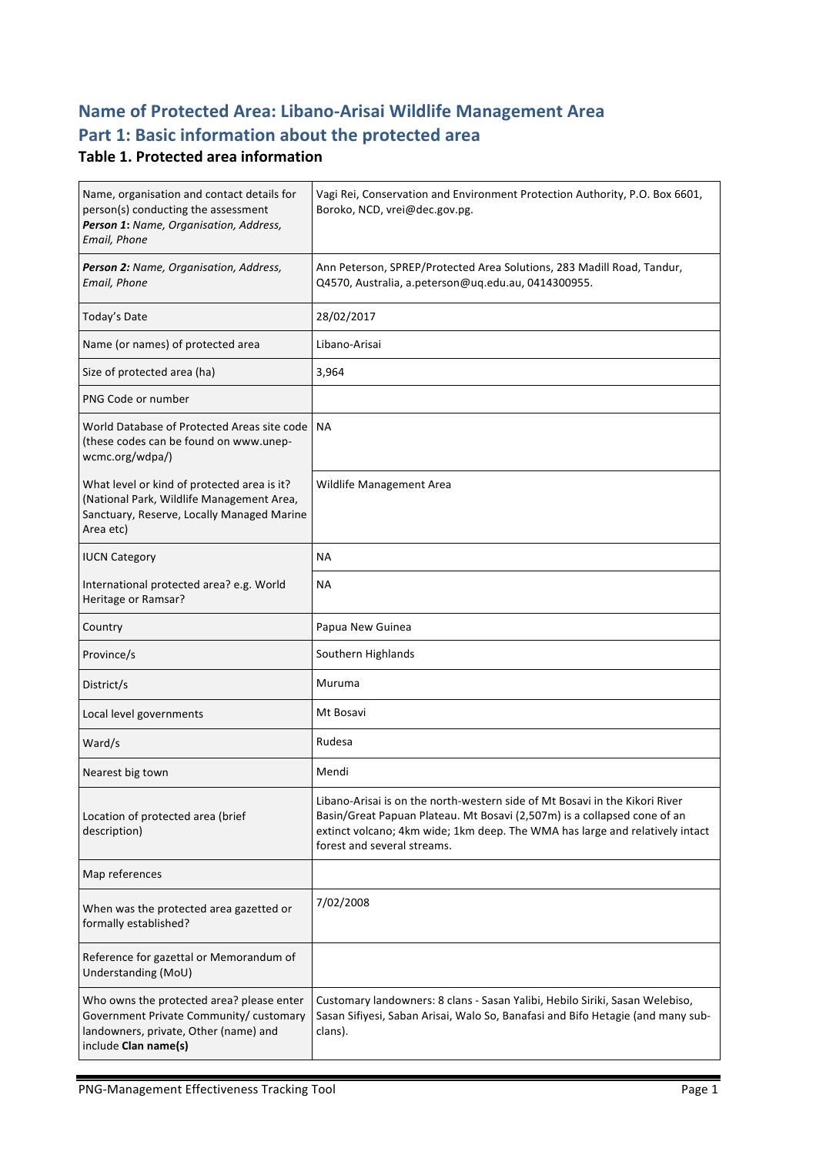# **Name of Protected Area: Libano-Arisai Wildlife Management Area** Part 1: Basic information about the protected area

#### **Table 1. Protected area information**

| Name, organisation and contact details for<br>person(s) conducting the assessment<br>Person 1: Name, Organisation, Address,<br>Email, Phone           | Vagi Rei, Conservation and Environment Protection Authority, P.O. Box 6601,<br>Boroko, NCD, vrei@dec.gov.pg.                                                                                                                                                           |
|-------------------------------------------------------------------------------------------------------------------------------------------------------|------------------------------------------------------------------------------------------------------------------------------------------------------------------------------------------------------------------------------------------------------------------------|
| Person 2: Name, Organisation, Address,<br>Email, Phone                                                                                                | Ann Peterson, SPREP/Protected Area Solutions, 283 Madill Road, Tandur,<br>Q4570, Australia, a.peterson@uq.edu.au, 0414300955.                                                                                                                                          |
| Today's Date                                                                                                                                          | 28/02/2017                                                                                                                                                                                                                                                             |
| Name (or names) of protected area                                                                                                                     | Libano-Arisai                                                                                                                                                                                                                                                          |
| Size of protected area (ha)                                                                                                                           | 3,964                                                                                                                                                                                                                                                                  |
| PNG Code or number                                                                                                                                    |                                                                                                                                                                                                                                                                        |
| World Database of Protected Areas site code<br>(these codes can be found on www.unep-<br>wcmc.org/wdpa/)                                              | <b>NA</b>                                                                                                                                                                                                                                                              |
| What level or kind of protected area is it?<br>(National Park, Wildlife Management Area,<br>Sanctuary, Reserve, Locally Managed Marine<br>Area etc)   | Wildlife Management Area                                                                                                                                                                                                                                               |
| <b>IUCN Category</b>                                                                                                                                  | <b>NA</b>                                                                                                                                                                                                                                                              |
| International protected area? e.g. World<br>Heritage or Ramsar?                                                                                       | <b>NA</b>                                                                                                                                                                                                                                                              |
| Country                                                                                                                                               | Papua New Guinea                                                                                                                                                                                                                                                       |
| Province/s                                                                                                                                            | Southern Highlands                                                                                                                                                                                                                                                     |
| District/s                                                                                                                                            | Muruma                                                                                                                                                                                                                                                                 |
| Local level governments                                                                                                                               | Mt Bosavi                                                                                                                                                                                                                                                              |
| Ward/s                                                                                                                                                | Rudesa                                                                                                                                                                                                                                                                 |
| Nearest big town                                                                                                                                      | Mendi                                                                                                                                                                                                                                                                  |
| Location of protected area (brief<br>description)                                                                                                     | Libano-Arisai is on the north-western side of Mt Bosavi in the Kikori River<br>Basin/Great Papuan Plateau. Mt Bosavi (2,507m) is a collapsed cone of an<br>extinct volcano; 4km wide; 1km deep. The WMA has large and relatively intact<br>forest and several streams. |
| Map references                                                                                                                                        |                                                                                                                                                                                                                                                                        |
| When was the protected area gazetted or<br>formally established?                                                                                      | 7/02/2008                                                                                                                                                                                                                                                              |
| Reference for gazettal or Memorandum of<br>Understanding (MoU)                                                                                        |                                                                                                                                                                                                                                                                        |
| Who owns the protected area? please enter<br>Government Private Community/ customary<br>landowners, private, Other (name) and<br>include Clan name(s) | Customary landowners: 8 clans - Sasan Yalibi, Hebilo Siriki, Sasan Welebiso,<br>Sasan Sifiyesi, Saban Arisai, Walo So, Banafasi and Bifo Hetagie (and many sub-<br>clans).                                                                                             |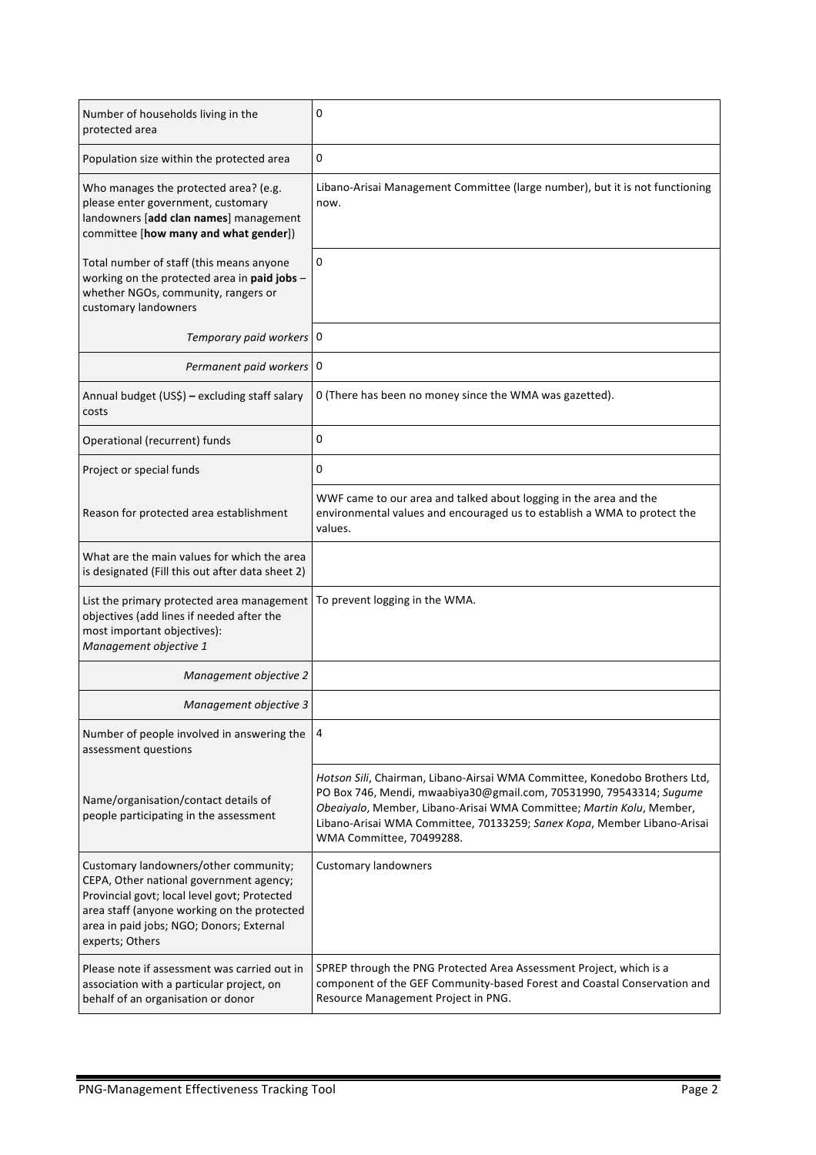| Number of households living in the<br>protected area                                                                                                                                                                                           | 0                                                                                                                                                                                                                                                                                                                                |
|------------------------------------------------------------------------------------------------------------------------------------------------------------------------------------------------------------------------------------------------|----------------------------------------------------------------------------------------------------------------------------------------------------------------------------------------------------------------------------------------------------------------------------------------------------------------------------------|
| Population size within the protected area                                                                                                                                                                                                      | 0                                                                                                                                                                                                                                                                                                                                |
| Who manages the protected area? (e.g.<br>please enter government, customary<br>landowners [add clan names] management<br>committee [how many and what gender])                                                                                 | Libano-Arisai Management Committee (large number), but it is not functioning<br>now.                                                                                                                                                                                                                                             |
| Total number of staff (this means anyone<br>working on the protected area in paid jobs -<br>whether NGOs, community, rangers or<br>customary landowners                                                                                        | 0                                                                                                                                                                                                                                                                                                                                |
| Temporary paid workers   0                                                                                                                                                                                                                     |                                                                                                                                                                                                                                                                                                                                  |
| Permanent paid workers 0                                                                                                                                                                                                                       |                                                                                                                                                                                                                                                                                                                                  |
| Annual budget (US\$) - excluding staff salary<br>costs                                                                                                                                                                                         | 0 (There has been no money since the WMA was gazetted).                                                                                                                                                                                                                                                                          |
| Operational (recurrent) funds                                                                                                                                                                                                                  | 0                                                                                                                                                                                                                                                                                                                                |
| Project or special funds                                                                                                                                                                                                                       | 0                                                                                                                                                                                                                                                                                                                                |
| Reason for protected area establishment                                                                                                                                                                                                        | WWF came to our area and talked about logging in the area and the<br>environmental values and encouraged us to establish a WMA to protect the<br>values.                                                                                                                                                                         |
| What are the main values for which the area<br>is designated (Fill this out after data sheet 2)                                                                                                                                                |                                                                                                                                                                                                                                                                                                                                  |
| List the primary protected area management<br>objectives (add lines if needed after the<br>most important objectives):<br>Management objective 1                                                                                               | To prevent logging in the WMA.                                                                                                                                                                                                                                                                                                   |
| Management objective 2                                                                                                                                                                                                                         |                                                                                                                                                                                                                                                                                                                                  |
| Management objective 3                                                                                                                                                                                                                         |                                                                                                                                                                                                                                                                                                                                  |
| Number of people involved in answering the<br>assessment questions                                                                                                                                                                             | 4                                                                                                                                                                                                                                                                                                                                |
| Name/organisation/contact details of<br>people participating in the assessment                                                                                                                                                                 | Hotson Sili, Chairman, Libano-Airsai WMA Committee, Konedobo Brothers Ltd,<br>PO Box 746, Mendi, mwaabiya30@gmail.com, 70531990, 79543314; Sugume<br>Obeaiyalo, Member, Libano-Arisai WMA Committee; Martin Kolu, Member,<br>Libano-Arisai WMA Committee, 70133259; Sanex Kopa, Member Libano-Arisai<br>WMA Committee, 70499288. |
| Customary landowners/other community;<br>CEPA, Other national government agency;<br>Provincial govt; local level govt; Protected<br>area staff (anyone working on the protected<br>area in paid jobs; NGO; Donors; External<br>experts; Others | <b>Customary landowners</b>                                                                                                                                                                                                                                                                                                      |
| Please note if assessment was carried out in<br>association with a particular project, on<br>behalf of an organisation or donor                                                                                                                | SPREP through the PNG Protected Area Assessment Project, which is a<br>component of the GEF Community-based Forest and Coastal Conservation and<br>Resource Management Project in PNG.                                                                                                                                           |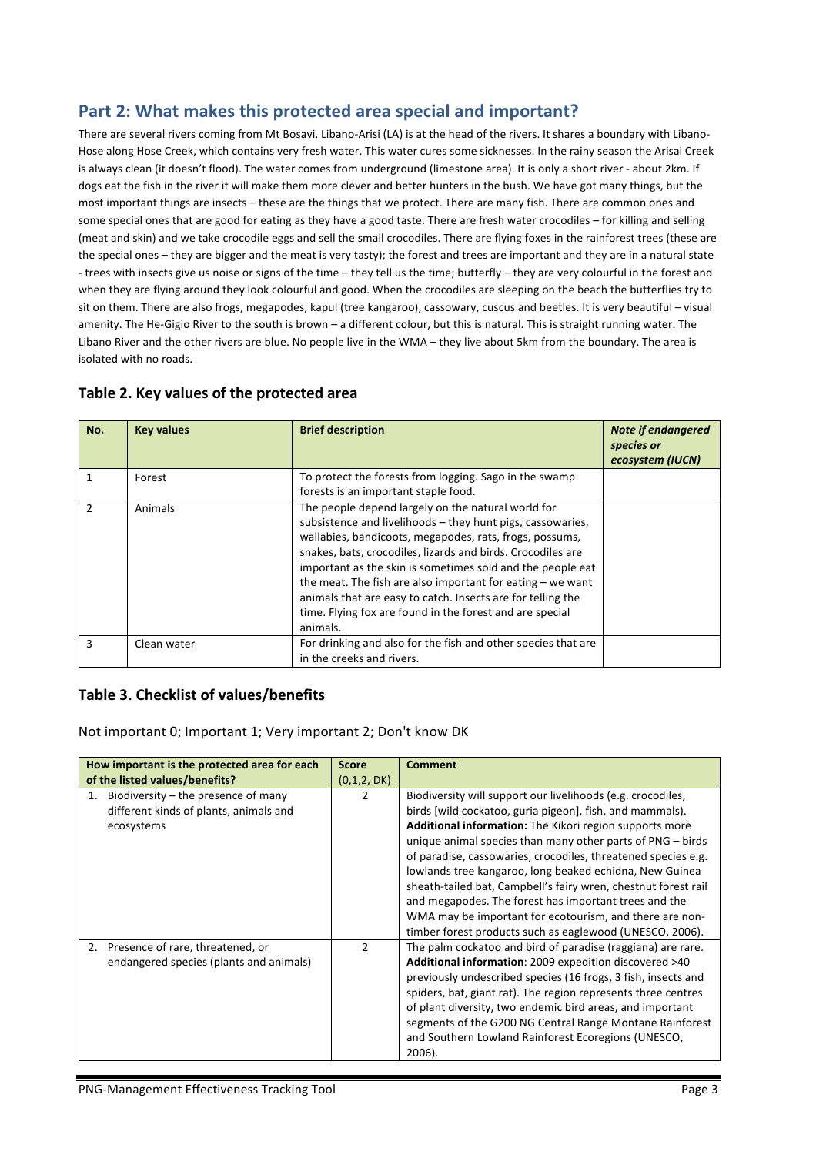# Part 2: What makes this protected area special and important?

There are several rivers coming from Mt Bosavi. Libano-Arisi (LA) is at the head of the rivers. It shares a boundary with Libano-Hose along Hose Creek, which contains very fresh water. This water cures some sicknesses. In the rainy season the Arisai Creek is always clean (it doesn't flood). The water comes from underground (limestone area). It is only a short river - about 2km. If dogs eat the fish in the river it will make them more clever and better hunters in the bush. We have got many things, but the most important things are insects – these are the things that we protect. There are many fish. There are common ones and some special ones that are good for eating as they have a good taste. There are fresh water crocodiles – for killing and selling (meat and skin) and we take crocodile eggs and sell the small crocodiles. There are flying foxes in the rainforest trees (these are the special ones – they are bigger and the meat is very tasty); the forest and trees are important and they are in a natural state - trees with insects give us noise or signs of the time – they tell us the time; butterfly – they are very colourful in the forest and when they are flying around they look colourful and good. When the crocodiles are sleeping on the beach the butterflies try to sit on them. There are also frogs, megapodes, kapul (tree kangaroo), cassowary, cuscus and beetles. It is very beautiful – visual amenity. The He-Gigio River to the south is brown – a different colour, but this is natural. This is straight running water. The Libano River and the other rivers are blue. No people live in the WMA - they live about 5km from the boundary. The area is isolated with no roads.

| No.           | <b>Key values</b> | <b>Brief description</b>                                      | <b>Note if endangered</b><br>species or<br>ecosystem (IUCN) |
|---------------|-------------------|---------------------------------------------------------------|-------------------------------------------------------------|
|               | Forest            | To protect the forests from logging. Sago in the swamp        |                                                             |
|               |                   | forests is an important staple food.                          |                                                             |
| $\mathcal{P}$ | Animals           | The people depend largely on the natural world for            |                                                             |
|               |                   | subsistence and livelihoods - they hunt pigs, cassowaries,    |                                                             |
|               |                   | wallabies, bandicoots, megapodes, rats, frogs, possums,       |                                                             |
|               |                   | snakes, bats, crocodiles, lizards and birds. Crocodiles are   |                                                             |
|               |                   | important as the skin is sometimes sold and the people eat    |                                                             |
|               |                   | the meat. The fish are also important for eating $-$ we want  |                                                             |
|               |                   | animals that are easy to catch. Insects are for telling the   |                                                             |
|               |                   | time. Flying fox are found in the forest and are special      |                                                             |
|               |                   | animals.                                                      |                                                             |
| 3             | Clean water       | For drinking and also for the fish and other species that are |                                                             |
|               |                   | in the creeks and rivers.                                     |                                                             |

#### Table 2. Key values of the protected area

#### Table 3. Checklist of values/benefits

Not important 0; Important 1; Very important 2; Don't know DK

| How important is the protected area for each<br>of the listed values/benefits?                      | <b>Score</b><br>(0,1,2, DK) | <b>Comment</b>                                                                                                                                                                                                                                                                                                                                                                                                                                                                                                                                                                                                                          |
|-----------------------------------------------------------------------------------------------------|-----------------------------|-----------------------------------------------------------------------------------------------------------------------------------------------------------------------------------------------------------------------------------------------------------------------------------------------------------------------------------------------------------------------------------------------------------------------------------------------------------------------------------------------------------------------------------------------------------------------------------------------------------------------------------------|
| Biodiversity $-$ the presence of many<br>1.<br>different kinds of plants, animals and<br>ecosystems | 2                           | Biodiversity will support our livelihoods (e.g. crocodiles,<br>birds [wild cockatoo, guria pigeon], fish, and mammals).<br><b>Additional information:</b> The Kikori region supports more<br>unique animal species than many other parts of $PNG - birds$<br>of paradise, cassowaries, crocodiles, threatened species e.g.<br>lowlands tree kangaroo, long beaked echidna, New Guinea<br>sheath-tailed bat, Campbell's fairy wren, chestnut forest rail<br>and megapodes. The forest has important trees and the<br>WMA may be important for ecotourism, and there are non-<br>timber forest products such as eaglewood (UNESCO, 2006). |
| 2. Presence of rare, threatened, or<br>endangered species (plants and animals)                      | $\overline{2}$              | The palm cockatoo and bird of paradise (raggiana) are rare.<br>Additional information: 2009 expedition discovered >40<br>previously undescribed species (16 frogs, 3 fish, insects and<br>spiders, bat, giant rat). The region represents three centres<br>of plant diversity, two endemic bird areas, and important<br>segments of the G200 NG Central Range Montane Rainforest<br>and Southern Lowland Rainforest Ecoregions (UNESCO,<br>2006).                                                                                                                                                                                       |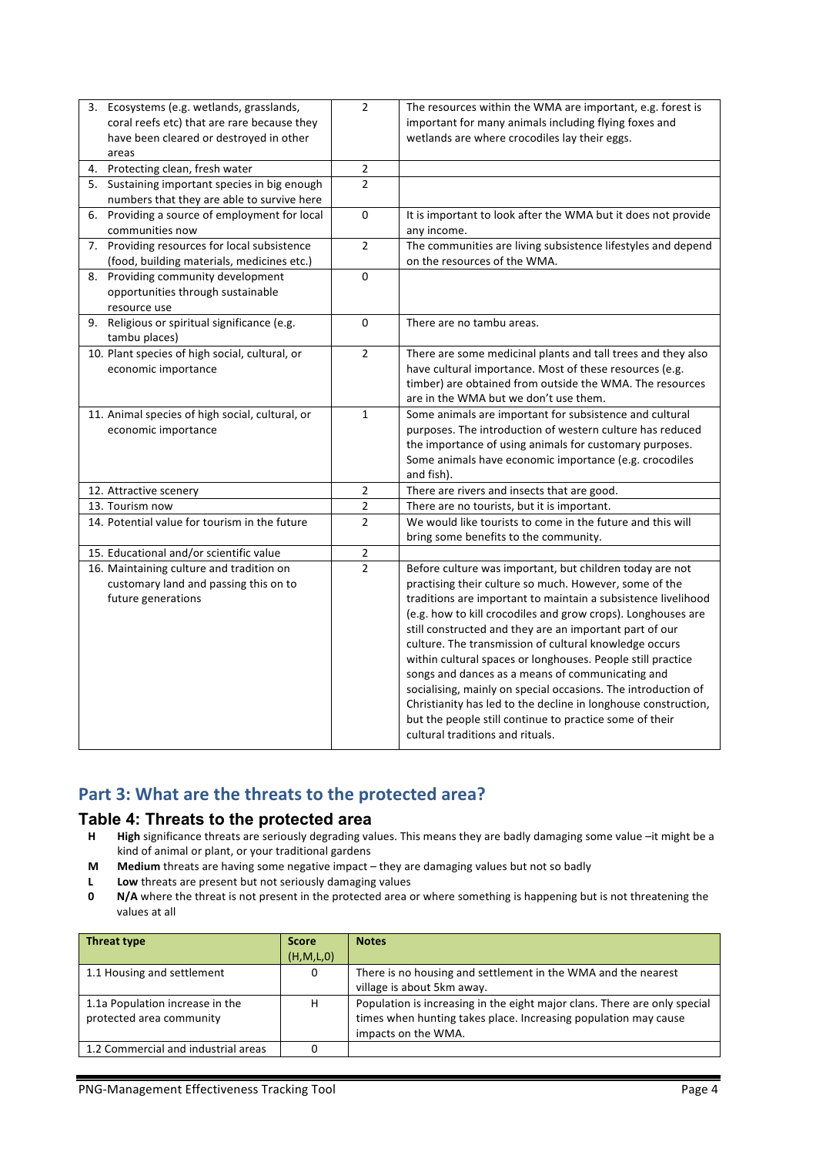| 3. Ecosystems (e.g. wetlands, grasslands,       | $\overline{2}$ | The resources within the WMA are important, e.g. forest is     |
|-------------------------------------------------|----------------|----------------------------------------------------------------|
| coral reefs etc) that are rare because they     |                | important for many animals including flying foxes and          |
| have been cleared or destroyed in other         |                | wetlands are where crocodiles lay their eggs.                  |
| areas                                           |                |                                                                |
| 4. Protecting clean, fresh water                | $\overline{2}$ |                                                                |
| 5. Sustaining important species in big enough   | $\mathcal{P}$  |                                                                |
| numbers that they are able to survive here      |                |                                                                |
| 6. Providing a source of employment for local   | 0              | It is important to look after the WMA but it does not provide  |
| communities now                                 |                | any income.                                                    |
| 7. Providing resources for local subsistence    | $\overline{2}$ | The communities are living subsistence lifestyles and depend   |
| (food, building materials, medicines etc.)      |                | on the resources of the WMA.                                   |
| 8. Providing community development              | $\mathbf 0$    |                                                                |
| opportunities through sustainable               |                |                                                                |
| resource use                                    |                |                                                                |
| 9. Religious or spiritual significance (e.g.    | $\mathbf 0$    | There are no tambu areas.                                      |
| tambu places)                                   |                |                                                                |
| 10. Plant species of high social, cultural, or  | $\overline{2}$ | There are some medicinal plants and tall trees and they also   |
| economic importance                             |                | have cultural importance. Most of these resources (e.g.        |
|                                                 |                | timber) are obtained from outside the WMA. The resources       |
|                                                 |                | are in the WMA but we don't use them.                          |
| 11. Animal species of high social, cultural, or | $\mathbf{1}$   | Some animals are important for subsistence and cultural        |
| economic importance                             |                | purposes. The introduction of western culture has reduced      |
|                                                 |                | the importance of using animals for customary purposes.        |
|                                                 |                | Some animals have economic importance (e.g. crocodiles         |
|                                                 |                | and fish).                                                     |
| 12. Attractive scenery                          | $\overline{2}$ | There are rivers and insects that are good.                    |
| 13. Tourism now                                 | $\mathbf 2$    | There are no tourists, but it is important.                    |
| 14. Potential value for tourism in the future   | $\overline{2}$ | We would like tourists to come in the future and this will     |
|                                                 |                | bring some benefits to the community.                          |
| 15. Educational and/or scientific value         | $\mathbf 2$    |                                                                |
| 16. Maintaining culture and tradition on        | $\overline{2}$ | Before culture was important, but children today are not       |
| customary land and passing this on to           |                | practising their culture so much. However, some of the         |
| future generations                              |                | traditions are important to maintain a subsistence livelihood  |
|                                                 |                | (e.g. how to kill crocodiles and grow crops). Longhouses are   |
|                                                 |                | still constructed and they are an important part of our        |
|                                                 |                | culture. The transmission of cultural knowledge occurs         |
|                                                 |                | within cultural spaces or longhouses. People still practice    |
|                                                 |                | songs and dances as a means of communicating and               |
|                                                 |                | socialising, mainly on special occasions. The introduction of  |
|                                                 |                | Christianity has led to the decline in longhouse construction, |
|                                                 |                | but the people still continue to practice some of their        |
|                                                 |                | cultural traditions and rituals.                               |
|                                                 |                |                                                                |

## Part 3: What are the threats to the protected area?

# **Table 4: Threats to the protected area**<br>**H** High significance threats are seriously degrading va

- High significance threats are seriously degrading values. This means they are badly damaging some value -it might be a kind of animal or plant, or your traditional gardens
- **M** Medium threats are having some negative impact they are damaging values but not so badly
- **L Low** threats are present but not seriously damaging values
- **0 N/A** where the threat is not present in the protected area or where something is happening but is not threatening the values at all

| <b>Threat type</b>                  | <b>Score</b> | <b>Notes</b>                                                              |
|-------------------------------------|--------------|---------------------------------------------------------------------------|
|                                     | (H, M, L, 0) |                                                                           |
| 1.1 Housing and settlement          | 0            | There is no housing and settlement in the WMA and the nearest             |
|                                     |              | village is about 5km away.                                                |
| 1.1a Population increase in the     | н            | Population is increasing in the eight major clans. There are only special |
| protected area community            |              | times when hunting takes place. Increasing population may cause           |
|                                     |              | impacts on the WMA.                                                       |
| 1.2 Commercial and industrial areas |              |                                                                           |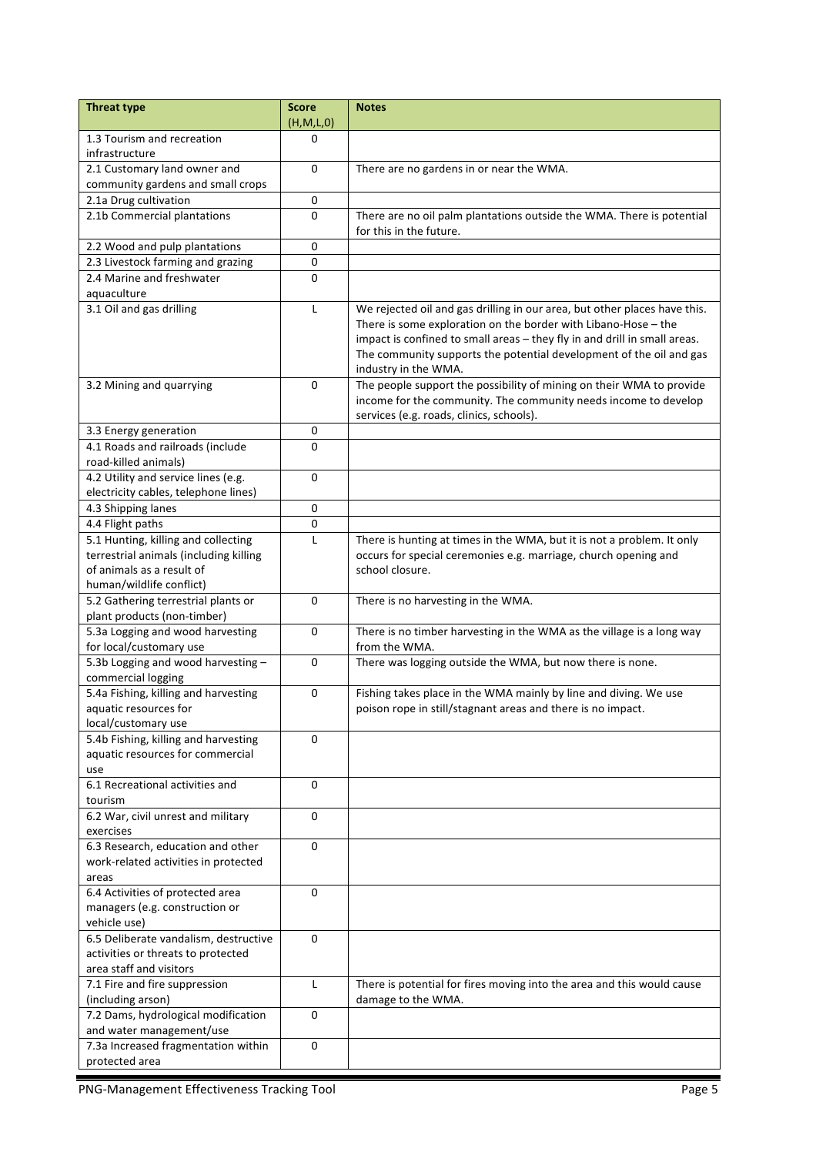| <b>Threat type</b>                                            | <b>Score</b> | <b>Notes</b>                                                                           |
|---------------------------------------------------------------|--------------|----------------------------------------------------------------------------------------|
|                                                               | (H, M, L, 0) |                                                                                        |
| 1.3 Tourism and recreation                                    | 0            |                                                                                        |
| infrastructure                                                |              |                                                                                        |
| 2.1 Customary land owner and                                  | 0            | There are no gardens in or near the WMA.                                               |
| community gardens and small crops<br>2.1a Drug cultivation    | $\pmb{0}$    |                                                                                        |
| 2.1b Commercial plantations                                   | 0            | There are no oil palm plantations outside the WMA. There is potential                  |
|                                                               |              | for this in the future.                                                                |
| 2.2 Wood and pulp plantations                                 | $\pmb{0}$    |                                                                                        |
| 2.3 Livestock farming and grazing                             | 0            |                                                                                        |
| 2.4 Marine and freshwater                                     | 0            |                                                                                        |
| aquaculture                                                   |              |                                                                                        |
| 3.1 Oil and gas drilling                                      | L            | We rejected oil and gas drilling in our area, but other places have this.              |
|                                                               |              | There is some exploration on the border with Libano-Hose $-$ the                       |
|                                                               |              | impact is confined to small areas - they fly in and drill in small areas.              |
|                                                               |              | The community supports the potential development of the oil and gas                    |
|                                                               |              | industry in the WMA.                                                                   |
| 3.2 Mining and quarrying                                      | $\Omega$     | The people support the possibility of mining on their WMA to provide                   |
|                                                               |              | income for the community. The community needs income to develop                        |
| 3.3 Energy generation                                         | 0            | services (e.g. roads, clinics, schools).                                               |
| 4.1 Roads and railroads (include                              | 0            |                                                                                        |
| road-killed animals)                                          |              |                                                                                        |
| 4.2 Utility and service lines (e.g.                           | $\mathbf 0$  |                                                                                        |
| electricity cables, telephone lines)                          |              |                                                                                        |
| 4.3 Shipping lanes                                            | 0            |                                                                                        |
| 4.4 Flight paths                                              | 0            |                                                                                        |
| 5.1 Hunting, killing and collecting                           | L            | There is hunting at times in the WMA, but it is not a problem. It only                 |
| terrestrial animals (including killing                        |              | occurs for special ceremonies e.g. marriage, church opening and                        |
| of animals as a result of                                     |              | school closure.                                                                        |
| human/wildlife conflict)                                      |              |                                                                                        |
| 5.2 Gathering terrestrial plants or                           | 0            | There is no harvesting in the WMA.                                                     |
| plant products (non-timber)                                   |              |                                                                                        |
| 5.3a Logging and wood harvesting                              | $\mathbf 0$  | There is no timber harvesting in the WMA as the village is a long way<br>from the WMA. |
| for local/customary use<br>5.3b Logging and wood harvesting - | $\mathbf 0$  | There was logging outside the WMA, but now there is none.                              |
| commercial logging                                            |              |                                                                                        |
| 5.4a Fishing, killing and harvesting                          | 0            | Fishing takes place in the WMA mainly by line and diving. We use                       |
| aquatic resources for                                         |              | poison rope in still/stagnant areas and there is no impact.                            |
| local/customary use                                           |              |                                                                                        |
| 5.4b Fishing, killing and harvesting                          | $\Omega$     |                                                                                        |
| aquatic resources for commercial                              |              |                                                                                        |
| use                                                           |              |                                                                                        |
| 6.1 Recreational activities and                               | 0            |                                                                                        |
| tourism                                                       |              |                                                                                        |
| 6.2 War, civil unrest and military                            | 0            |                                                                                        |
| exercises<br>6.3 Research, education and other                | 0            |                                                                                        |
| work-related activities in protected                          |              |                                                                                        |
| areas                                                         |              |                                                                                        |
| 6.4 Activities of protected area                              | 0            |                                                                                        |
| managers (e.g. construction or                                |              |                                                                                        |
| vehicle use)                                                  |              |                                                                                        |
| 6.5 Deliberate vandalism, destructive                         | 0            |                                                                                        |
| activities or threats to protected                            |              |                                                                                        |
| area staff and visitors                                       |              |                                                                                        |
| 7.1 Fire and fire suppression                                 | L            | There is potential for fires moving into the area and this would cause                 |
| (including arson)                                             |              | damage to the WMA.                                                                     |
| 7.2 Dams, hydrological modification                           | 0            |                                                                                        |
| and water management/use                                      |              |                                                                                        |
| 7.3a Increased fragmentation within                           | 0            |                                                                                        |
| protected area                                                |              |                                                                                        |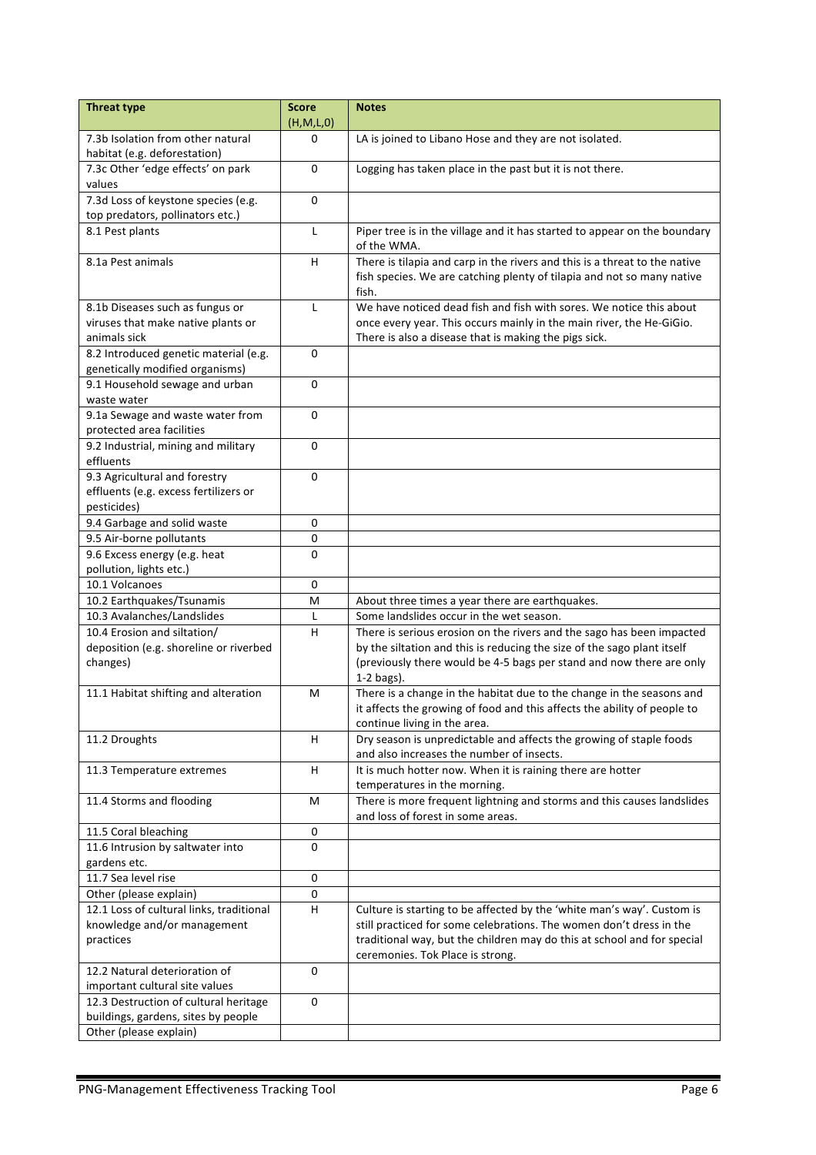| <b>Threat type</b>                                                                    | <b>Score</b><br>(H,M,L,0) | <b>Notes</b>                                                                                                                                                                                         |
|---------------------------------------------------------------------------------------|---------------------------|------------------------------------------------------------------------------------------------------------------------------------------------------------------------------------------------------|
| 7.3b Isolation from other natural                                                     | $\Omega$                  | LA is joined to Libano Hose and they are not isolated.                                                                                                                                               |
| habitat (e.g. deforestation)                                                          |                           |                                                                                                                                                                                                      |
| 7.3c Other 'edge effects' on park                                                     | 0                         | Logging has taken place in the past but it is not there.                                                                                                                                             |
| values                                                                                |                           |                                                                                                                                                                                                      |
| 7.3d Loss of keystone species (e.g.                                                   | 0                         |                                                                                                                                                                                                      |
| top predators, pollinators etc.)                                                      |                           |                                                                                                                                                                                                      |
| 8.1 Pest plants                                                                       | Г                         | Piper tree is in the village and it has started to appear on the boundary<br>of the WMA.                                                                                                             |
| 8.1a Pest animals                                                                     | H                         | There is tilapia and carp in the rivers and this is a threat to the native<br>fish species. We are catching plenty of tilapia and not so many native<br>fish.                                        |
| 8.1b Diseases such as fungus or<br>viruses that make native plants or<br>animals sick | L                         | We have noticed dead fish and fish with sores. We notice this about<br>once every year. This occurs mainly in the main river, the He-GiGio.<br>There is also a disease that is making the pigs sick. |
| 8.2 Introduced genetic material (e.g.                                                 | $\mathbf 0$               |                                                                                                                                                                                                      |
| genetically modified organisms)                                                       |                           |                                                                                                                                                                                                      |
| 9.1 Household sewage and urban<br>waste water                                         | 0                         |                                                                                                                                                                                                      |
| 9.1a Sewage and waste water from                                                      | $\mathbf 0$               |                                                                                                                                                                                                      |
| protected area facilities                                                             |                           |                                                                                                                                                                                                      |
| 9.2 Industrial, mining and military                                                   | 0                         |                                                                                                                                                                                                      |
| effluents                                                                             |                           |                                                                                                                                                                                                      |
| 9.3 Agricultural and forestry                                                         | $\mathbf 0$               |                                                                                                                                                                                                      |
| effluents (e.g. excess fertilizers or                                                 |                           |                                                                                                                                                                                                      |
| pesticides)                                                                           |                           |                                                                                                                                                                                                      |
| 9.4 Garbage and solid waste                                                           | 0                         |                                                                                                                                                                                                      |
| 9.5 Air-borne pollutants                                                              | $\pmb{0}$                 |                                                                                                                                                                                                      |
| 9.6 Excess energy (e.g. heat<br>pollution, lights etc.)                               | $\mathbf 0$               |                                                                                                                                                                                                      |
| 10.1 Volcanoes                                                                        | $\mathbf 0$               |                                                                                                                                                                                                      |
| 10.2 Earthquakes/Tsunamis                                                             | M                         | About three times a year there are earthquakes.                                                                                                                                                      |
| 10.3 Avalanches/Landslides                                                            | L                         | Some landslides occur in the wet season.                                                                                                                                                             |
| 10.4 Erosion and siltation/                                                           | $\sf H$                   | There is serious erosion on the rivers and the sago has been impacted                                                                                                                                |
| deposition (e.g. shoreline or riverbed                                                |                           | by the siltation and this is reducing the size of the sago plant itself                                                                                                                              |
| changes)                                                                              |                           | (previously there would be 4-5 bags per stand and now there are only                                                                                                                                 |
|                                                                                       |                           | $1-2$ bags).                                                                                                                                                                                         |
| 11.1 Habitat shifting and alteration                                                  | M                         | There is a change in the habitat due to the change in the seasons and<br>it affects the growing of food and this affects the ability of people to                                                    |
|                                                                                       | H                         | continue living in the area.<br>Dry season is unpredictable and affects the growing of staple foods                                                                                                  |
| 11.2 Droughts                                                                         |                           | and also increases the number of insects.                                                                                                                                                            |
| 11.3 Temperature extremes                                                             | H                         | It is much hotter now. When it is raining there are hotter                                                                                                                                           |
|                                                                                       |                           | temperatures in the morning.                                                                                                                                                                         |
| 11.4 Storms and flooding                                                              | M                         | There is more frequent lightning and storms and this causes landslides<br>and loss of forest in some areas.                                                                                          |
| 11.5 Coral bleaching                                                                  | $\mathbf 0$               |                                                                                                                                                                                                      |
| 11.6 Intrusion by saltwater into                                                      | 0                         |                                                                                                                                                                                                      |
| gardens etc.                                                                          |                           |                                                                                                                                                                                                      |
| 11.7 Sea level rise                                                                   | 0                         |                                                                                                                                                                                                      |
| Other (please explain)<br>12.1 Loss of cultural links, traditional                    | 0<br>H                    | Culture is starting to be affected by the 'white man's way'. Custom is                                                                                                                               |
| knowledge and/or management<br>practices                                              |                           | still practiced for some celebrations. The women don't dress in the<br>traditional way, but the children may do this at school and for special<br>ceremonies. Tok Place is strong.                   |
| 12.2 Natural deterioration of                                                         | 0                         |                                                                                                                                                                                                      |
| important cultural site values<br>12.3 Destruction of cultural heritage               | $\Omega$                  |                                                                                                                                                                                                      |
| buildings, gardens, sites by people                                                   |                           |                                                                                                                                                                                                      |
| Other (please explain)                                                                |                           |                                                                                                                                                                                                      |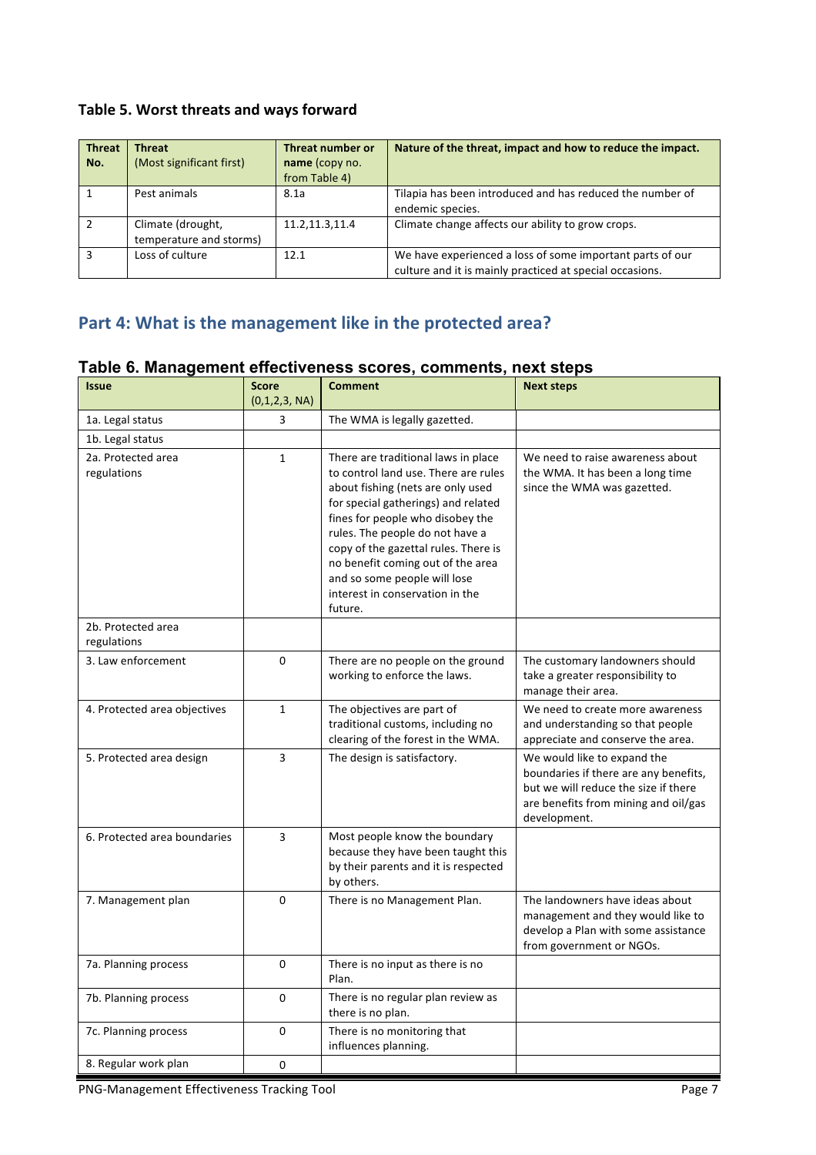### Table 5. Worst threats and ways forward

| <b>Threat</b><br>No. | <b>Threat</b><br>(Most significant first)    | Threat number or<br>name (copy no.<br>from Table 4) | Nature of the threat, impact and how to reduce the impact.                                                            |
|----------------------|----------------------------------------------|-----------------------------------------------------|-----------------------------------------------------------------------------------------------------------------------|
|                      | Pest animals                                 | 8.1a                                                | Tilapia has been introduced and has reduced the number of<br>endemic species.                                         |
|                      | Climate (drought,<br>temperature and storms) | 11.2, 11.3, 11.4                                    | Climate change affects our ability to grow crops.                                                                     |
|                      | Loss of culture                              | 12.1                                                | We have experienced a loss of some important parts of our<br>culture and it is mainly practiced at special occasions. |

# Part 4: What is the management like in the protected area?

| Table 6. Management effectiveness scores, comments, next steps |  |
|----------------------------------------------------------------|--|
|----------------------------------------------------------------|--|

| <b>Issue</b>                      | <b>Score</b><br>(0,1,2,3, NA) | <b>Comment</b>                                                                                                                                                                                                                                                                                                                                                                            | <b>Next steps</b>                                                                                                                                                    |
|-----------------------------------|-------------------------------|-------------------------------------------------------------------------------------------------------------------------------------------------------------------------------------------------------------------------------------------------------------------------------------------------------------------------------------------------------------------------------------------|----------------------------------------------------------------------------------------------------------------------------------------------------------------------|
| 1a. Legal status                  | 3                             | The WMA is legally gazetted.                                                                                                                                                                                                                                                                                                                                                              |                                                                                                                                                                      |
| 1b. Legal status                  |                               |                                                                                                                                                                                                                                                                                                                                                                                           |                                                                                                                                                                      |
| 2a. Protected area<br>regulations | $\mathbf{1}$                  | There are traditional laws in place<br>to control land use. There are rules<br>about fishing (nets are only used<br>for special gatherings) and related<br>fines for people who disobey the<br>rules. The people do not have a<br>copy of the gazettal rules. There is<br>no benefit coming out of the area<br>and so some people will lose<br>interest in conservation in the<br>future. | We need to raise awareness about<br>the WMA. It has been a long time<br>since the WMA was gazetted.                                                                  |
| 2b. Protected area<br>regulations |                               |                                                                                                                                                                                                                                                                                                                                                                                           |                                                                                                                                                                      |
| 3. Law enforcement                | 0                             | There are no people on the ground<br>working to enforce the laws.                                                                                                                                                                                                                                                                                                                         | The customary landowners should<br>take a greater responsibility to<br>manage their area.                                                                            |
| 4. Protected area objectives      | $\mathbf{1}$                  | The objectives are part of<br>traditional customs, including no<br>clearing of the forest in the WMA.                                                                                                                                                                                                                                                                                     | We need to create more awareness<br>and understanding so that people<br>appreciate and conserve the area.                                                            |
| 5. Protected area design          | 3                             | The design is satisfactory.                                                                                                                                                                                                                                                                                                                                                               | We would like to expand the<br>boundaries if there are any benefits,<br>but we will reduce the size if there<br>are benefits from mining and oil/gas<br>development. |
| 6. Protected area boundaries      | 3                             | Most people know the boundary<br>because they have been taught this<br>by their parents and it is respected<br>by others.                                                                                                                                                                                                                                                                 |                                                                                                                                                                      |
| 7. Management plan                | 0                             | There is no Management Plan.                                                                                                                                                                                                                                                                                                                                                              | The landowners have ideas about<br>management and they would like to<br>develop a Plan with some assistance<br>from government or NGOs.                              |
| 7a. Planning process              | 0                             | There is no input as there is no<br>Plan.                                                                                                                                                                                                                                                                                                                                                 |                                                                                                                                                                      |
| 7b. Planning process              | 0                             | There is no regular plan review as<br>there is no plan.                                                                                                                                                                                                                                                                                                                                   |                                                                                                                                                                      |
| 7c. Planning process              | 0                             | There is no monitoring that<br>influences planning.                                                                                                                                                                                                                                                                                                                                       |                                                                                                                                                                      |
| 8. Regular work plan              | 0                             |                                                                                                                                                                                                                                                                                                                                                                                           |                                                                                                                                                                      |

PNG-Management Effectiveness Tracking Tool example 20 and 20 and 20 and 20 and 20 and 20 and 20 and 20 and 20 and 20 and 20 and 20 and 20 and 20 and 20 and 20 and 20 and 20 and 20 and 20 and 20 and 20 and 20 and 20 and 20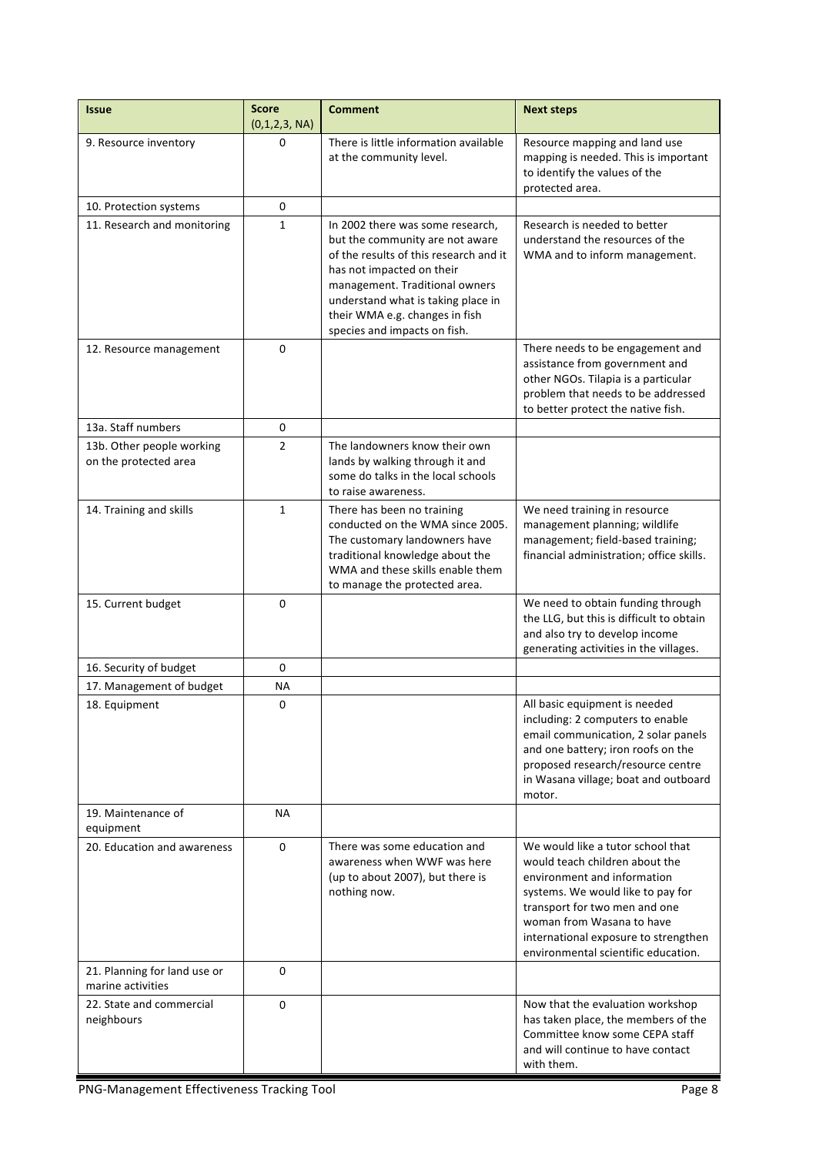| <b>Issue</b>                                       | <b>Score</b><br>(0,1,2,3, NA) | <b>Comment</b>                                                                                                                                                                                                                                                                       | <b>Next steps</b>                                                                                                                                                                                                                                                                    |
|----------------------------------------------------|-------------------------------|--------------------------------------------------------------------------------------------------------------------------------------------------------------------------------------------------------------------------------------------------------------------------------------|--------------------------------------------------------------------------------------------------------------------------------------------------------------------------------------------------------------------------------------------------------------------------------------|
| 9. Resource inventory                              | 0                             | There is little information available<br>at the community level.                                                                                                                                                                                                                     | Resource mapping and land use<br>mapping is needed. This is important<br>to identify the values of the<br>protected area.                                                                                                                                                            |
| 10. Protection systems                             | 0                             |                                                                                                                                                                                                                                                                                      |                                                                                                                                                                                                                                                                                      |
| 11. Research and monitoring                        | $\mathbf{1}$                  | In 2002 there was some research,<br>but the community are not aware<br>of the results of this research and it<br>has not impacted on their<br>management. Traditional owners<br>understand what is taking place in<br>their WMA e.g. changes in fish<br>species and impacts on fish. | Research is needed to better<br>understand the resources of the<br>WMA and to inform management.                                                                                                                                                                                     |
| 12. Resource management                            | 0                             |                                                                                                                                                                                                                                                                                      | There needs to be engagement and<br>assistance from government and<br>other NGOs. Tilapia is a particular<br>problem that needs to be addressed<br>to better protect the native fish.                                                                                                |
| 13a. Staff numbers                                 | 0                             |                                                                                                                                                                                                                                                                                      |                                                                                                                                                                                                                                                                                      |
| 13b. Other people working<br>on the protected area | $\overline{2}$                | The landowners know their own<br>lands by walking through it and<br>some do talks in the local schools<br>to raise awareness.                                                                                                                                                        |                                                                                                                                                                                                                                                                                      |
| 14. Training and skills                            | $\mathbf{1}$                  | There has been no training<br>conducted on the WMA since 2005.<br>The customary landowners have<br>traditional knowledge about the<br>WMA and these skills enable them<br>to manage the protected area.                                                                              | We need training in resource<br>management planning; wildlife<br>management; field-based training;<br>financial administration; office skills.                                                                                                                                       |
| 15. Current budget                                 | 0                             |                                                                                                                                                                                                                                                                                      | We need to obtain funding through<br>the LLG, but this is difficult to obtain<br>and also try to develop income<br>generating activities in the villages.                                                                                                                            |
| 16. Security of budget                             | 0                             |                                                                                                                                                                                                                                                                                      |                                                                                                                                                                                                                                                                                      |
| 17. Management of budget                           | ΝA                            |                                                                                                                                                                                                                                                                                      |                                                                                                                                                                                                                                                                                      |
| 18. Equipment                                      | 0                             |                                                                                                                                                                                                                                                                                      | All basic equipment is needed<br>including: 2 computers to enable<br>email communication, 2 solar panels<br>and one battery; iron roofs on the<br>proposed research/resource centre<br>in Wasana village; boat and outboard<br>motor.                                                |
| 19. Maintenance of<br>equipment                    | <b>NA</b>                     |                                                                                                                                                                                                                                                                                      |                                                                                                                                                                                                                                                                                      |
| 20. Education and awareness                        | $\Omega$                      | There was some education and<br>awareness when WWF was here<br>(up to about 2007), but there is<br>nothing now.                                                                                                                                                                      | We would like a tutor school that<br>would teach children about the<br>environment and information<br>systems. We would like to pay for<br>transport for two men and one<br>woman from Wasana to have<br>international exposure to strengthen<br>environmental scientific education. |
| 21. Planning for land use or<br>marine activities  | $\Omega$                      |                                                                                                                                                                                                                                                                                      |                                                                                                                                                                                                                                                                                      |
| 22. State and commercial<br>neighbours             | 0                             |                                                                                                                                                                                                                                                                                      | Now that the evaluation workshop<br>has taken place, the members of the<br>Committee know some CEPA staff<br>and will continue to have contact<br>with them.                                                                                                                         |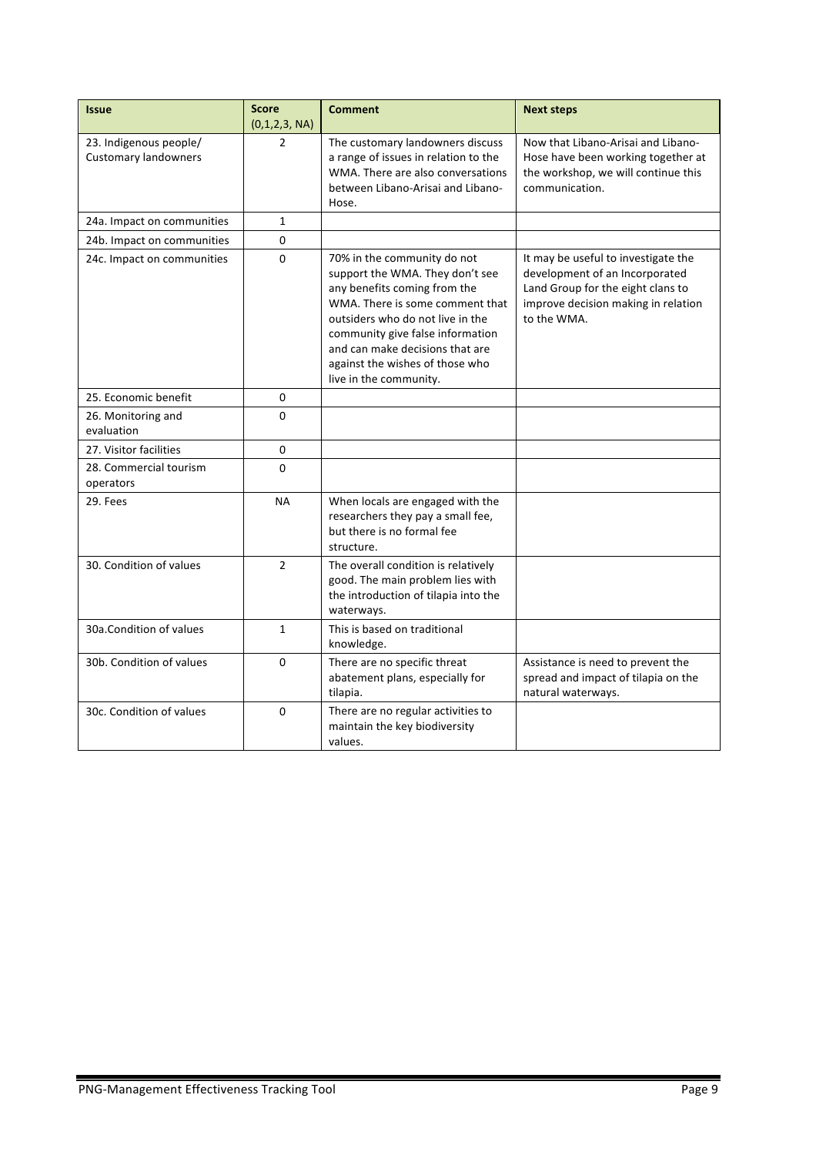| <b>Issue</b>                                          | <b>Score</b><br>(0,1,2,3, NA) | <b>Comment</b>                                                                                                                                                                                                                                                                                            | <b>Next steps</b>                                                                                                                                                |
|-------------------------------------------------------|-------------------------------|-----------------------------------------------------------------------------------------------------------------------------------------------------------------------------------------------------------------------------------------------------------------------------------------------------------|------------------------------------------------------------------------------------------------------------------------------------------------------------------|
| 23. Indigenous people/<br><b>Customary landowners</b> | 2                             | The customary landowners discuss<br>a range of issues in relation to the<br>WMA. There are also conversations<br>between Libano-Arisai and Libano-<br>Hose.                                                                                                                                               | Now that Libano-Arisai and Libano-<br>Hose have been working together at<br>the workshop, we will continue this<br>communication.                                |
| 24a. Impact on communities                            | $\mathbf{1}$                  |                                                                                                                                                                                                                                                                                                           |                                                                                                                                                                  |
| 24b. Impact on communities                            | 0                             |                                                                                                                                                                                                                                                                                                           |                                                                                                                                                                  |
| 24c. Impact on communities                            | 0                             | 70% in the community do not<br>support the WMA. They don't see<br>any benefits coming from the<br>WMA. There is some comment that<br>outsiders who do not live in the<br>community give false information<br>and can make decisions that are<br>against the wishes of those who<br>live in the community. | It may be useful to investigate the<br>development of an Incorporated<br>Land Group for the eight clans to<br>improve decision making in relation<br>to the WMA. |
| 25. Economic benefit                                  | 0                             |                                                                                                                                                                                                                                                                                                           |                                                                                                                                                                  |
| 26. Monitoring and<br>evaluation                      | $\Omega$                      |                                                                                                                                                                                                                                                                                                           |                                                                                                                                                                  |
| 27. Visitor facilities                                | 0                             |                                                                                                                                                                                                                                                                                                           |                                                                                                                                                                  |
| 28. Commercial tourism<br>operators                   | $\Omega$                      |                                                                                                                                                                                                                                                                                                           |                                                                                                                                                                  |
| 29. Fees                                              | <b>NA</b>                     | When locals are engaged with the<br>researchers they pay a small fee,<br>but there is no formal fee<br>structure.                                                                                                                                                                                         |                                                                                                                                                                  |
| 30. Condition of values                               | $\overline{2}$                | The overall condition is relatively<br>good. The main problem lies with<br>the introduction of tilapia into the<br>waterways.                                                                                                                                                                             |                                                                                                                                                                  |
| 30a.Condition of values                               | $\mathbf{1}$                  | This is based on traditional<br>knowledge.                                                                                                                                                                                                                                                                |                                                                                                                                                                  |
| 30b. Condition of values                              | $\Omega$                      | There are no specific threat<br>abatement plans, especially for<br>tilapia.                                                                                                                                                                                                                               | Assistance is need to prevent the<br>spread and impact of tilapia on the<br>natural waterways.                                                                   |
| 30c. Condition of values                              | $\Omega$                      | There are no regular activities to<br>maintain the key biodiversity<br>values.                                                                                                                                                                                                                            |                                                                                                                                                                  |